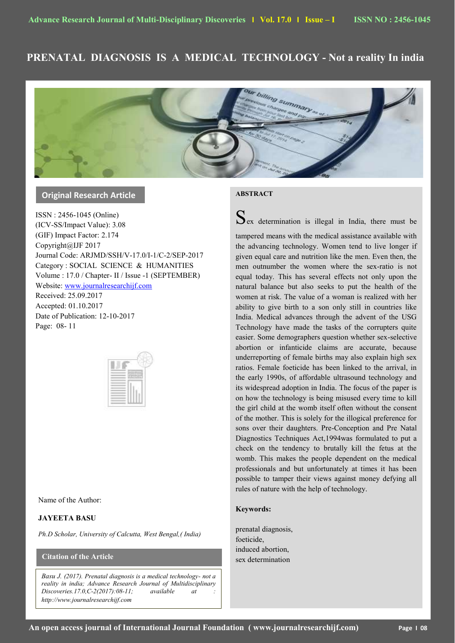# **PRENATAL DIAGNOSIS IS A MEDICAL TECHNOLOGY - Not a reality In india**



# **Original Research Article**

ISSN : 2456-1045 (Online) (ICV-SS/Impact Value): 3.08 (GIF) Impact Factor: 2.174 Copyright@IJF 2017 Journal Code: ARJMD/SSH/V-17.0/I-1/C-2/SEP-2017 Category : SOCIAL SCIENCE & HUMANITIES Volume : 17.0 / Chapter- II / Issue -1 (SEPTEMBER) Website[: www.journalresearchijf.com](http://www.journalresearchijf.com/) Received: 25.09.2017

Accepted: 01.10.2017 Date of Publication: 12-10-2017 Page: 08- 11



## Name of the Author:

## **JAYEETA BASU**

*Ph.D Scholar, University of Calcutta, West Bengal,( India)*

# **Citation of the Article**

*Basu J. (2017). Prenatal diagnosis is a medical technology- not a reality in india; Advance Research Journal of Multidisciplinary Discoveries.17.0,C-2(2017):08-11; available at : http://www.journalresearchijf.com***e;**

# **ABSTRACT**

 $S_{ex}$  determination is illegal in India, there must be

tampered means with the medical assistance available with the advancing technology. Women tend to live longer if given equal care and nutrition like the men. Even then, the men outnumber the women where the sex-ratio is not equal today. This has several effects not only upon the natural balance but also seeks to put the health of the women at risk. The value of a woman is realized with her ability to give birth to a son only still in countries like India. Medical advances through the advent of the USG Technology have made the tasks of the corrupters quite easier. Some demographers question whether sex-selective abortion or infanticide claims are accurate, because underreporting of female births may also explain high sex ratios. Female foeticide has been linked to the arrival, in the early 1990s, of affordable ultrasound technology and its widespread adoption in India. The focus of the paper is on how the technology is being misused every time to kill the girl child at the womb itself often without the consent of the mother. This is solely for the illogical preference for sons over their daughters. Pre-Conception and Pre Natal Diagnostics Techniques Act,1994was formulated to put a check on the tendency to brutally kill the fetus at the womb. This makes the people dependent on the medical professionals and but unfortunately at times it has been possible to tamper their views against money defying all rules of nature with the help of technology.

#### **Keywords:**

prenatal diagnosis, foeticide, induced abortion, sex determination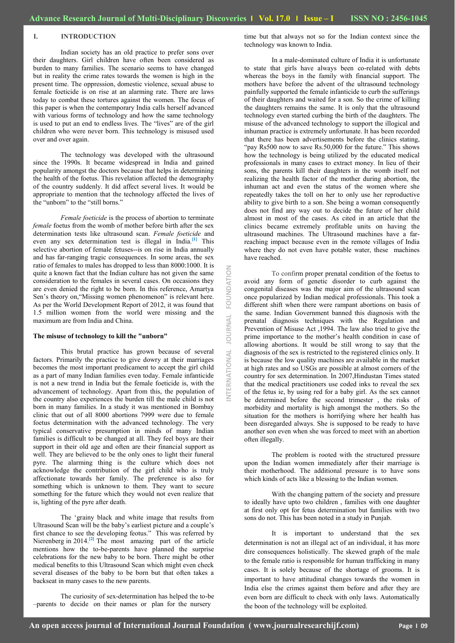## **I. INTRODUCTION**

Indian society has an old practice to prefer sons over their daughters. Girl children have often been considered as burden to many families. The scenario seems to have changed but in reality the crime rates towards the women is high in the present time. The oppression, domestic violence, sexual abuse to female foeticide is on rise at an alarming rate. There are laws today to combat these tortures against the women. The focus of this paper is when the contemporary India calls herself advanced with various forms of technology and how the same technology is used to put an end to endless lives. The "lives" are of the girl children who were never born. This technology is misused used over and over again.

The technology was developed with the ultrasound since the 1990s. It became widespread in India and gained popularity amongst the doctors because that helps in determining the health of the foetus. This revelation affected the demography of the country suddenly. It did affect several lives. It would be appropriate to mention that the technology affected the lives of the "unborn" to the "still borns."

*Female foeticide* is the process of abortion to terminate *female* foetus from the womb of mother before birth after the sex determination tests like ultrasound scan. *Female foeticide* and even any sex determination test is illegal in India.**[1]** This selective abortion of female fetuses--is on rise in India annually and has far-ranging tragic consequences. In some areas, the sex ratio of females to males has dropped to less than 8000:1000. It is quite a known fact that the Indian culture has not given the same consideration to the females in several cases. On occasions they are even denied the right to be born. In this reference, Amartya Sen"s theory on,"Missing women phenomenon" is relevant here. As per the World Development Report of 2012, it was found that 1.5 million women from the world were missing and the maximum are from India and China.

#### **The misuse of technology to kill the "unborn"**

This brutal practice has grown because of several factors. Primarily the practice to give dowry at their marriages becomes the most important predicament to accept the girl child as a part of many Indian families even today. Female infanticide is not a new trend in India but the female foeticide is, with the advancement of technology. Apart from this, the population of the country also experiences the burden till the male child is not born in many families. In a study it was mentioned in Bombay clinic that out of all 8000 abortions 7999 were due to female foetus determination with the advanced technology. The very typical conservative presumption in minds of many Indian families is difficult to be changed at all. They feel boys are their support in their old age and often are their financial support as well. They are believed to be the only ones to light their funeral pyre. The alarming thing is the culture which does not acknowledge the contribution of the girl child who is truly affectionate towards her family. The preference is also for something which is unknown to them. They want to secure something for the future which they would not even realize that is, lighting of the pyre after death.

The "grainy black and white image that results from Ultrasound Scan will be the baby"s earliest picture and a couple"s first chance to see the developing feotus." This was referred by Nierenberg in 2014.<sup>[2]</sup> The most amazing part of the article mentions how the to-be-parents have planned the surprise celebrations for the new baby to be born. There might be other medical benefits to this Ultrasound Scan which might even check several diseases of the baby to be born but that often takes a backseat in many cases to the new parents.

The curiosity of sex-determination has helped the to-be –parents to decide on their names or plan for the nursery

time but that always not so for the Indian context since the technology was known to India.

In a male-dominated culture of India it is unfortunate to state that girls have always been co-related with debts whereas the boys in the family with financial support. The mothers have before the advent of the ultrasound technology painfully supported the female infanticide to curb the sufferings of their daughters and waited for a son. So the crime of killing the daughters remains the same. It is only that the ultrasound technology even started curbing the birth of the daughters. The misuse of the advanced technology to support the illogical and inhuman practice is extremely unfortunate. It has been recorded that there has been advertisements before the clinics stating, "pay Rs500 now to save Rs.50,000 for the future." This shows how the technology is being utilized by the educated medical professionals in many cases to extract money. In lieu of their sons, the parents kill their daughters in the womb itself not realizing the health factor of the mother during abortion, the inhuman act and even the status of the women where she repeatedly takes the toll on her to only use her reproductive ability to give birth to a son. She being a woman consequently does not find any way out to decide the future of her child almost in most of the cases. As cited in an article that the clinics became extremely profitable units on having the ultrasound machines. The Ultrasound machines have a farreaching impact because even in the remote villages of India where they do not even have potable water, these machines have reached.

To confirm proper prenatal condition of the foetus to avoid any form of genetic disorder to curb against the congenital diseases was the major aim of the ultrasound scan once popularized by Indian medical professionals. This took a different shift when there were rampant abortions on basis of the same. Indian Government banned this diagnosis with the prenatal diagnosis techniques with the Regulation and Prevention of Misuse Act ,1994. The law also tried to give the prime importance to the mother"s health condition in case of allowing abortions. It would be still wrong to say that the diagnosis of the sex is restricted to the registered clinics only. It is because the low quality machines are available in the market at high rates and so USGs are possible at almost corners of the country for sex determination. In 2007,Hindustan Times stated that the medical practitioners use coded inks to reveal the sex of the fetus ie, by using red for a baby girl. As the sex cannot be determined before the second trimester , the risks of morbidity and mortality is high amongst the mothers. So the situation for the mothers is horrifying where her health has been disregarded always. She is supposed to be ready to have another son even when she was forced to meet with an abortion often illegally.

The problem is rooted with the structured pressure upon the Indian women immediately after their marriage is their motherhood. The additional pressure is to have sons which kinds of acts like a blessing to the Indian women.

With the changing pattern of the society and pressure to ideally have upto two children , families with one daughter at first only opt for fetus determination but families with two sons do not. This has been noted in a study in Punjab.

It is important to understand that the sex determination is not an illegal act of an individual, it has more dire consequences holistically. The skewed graph of the male to the female ratio is responsible for human trafficking in many cases. It is solely because of the shortage of grooms. It is important to have attitudinal changes towards the women in India else the crimes against them before and after they are even born are difficult to check with only laws. Automatically the boon of the technology will be exploited.

**INTERNATIONAL JOURNAL FOUNDATION**

**OURNAL** 

NATIONAL

FOUNDATION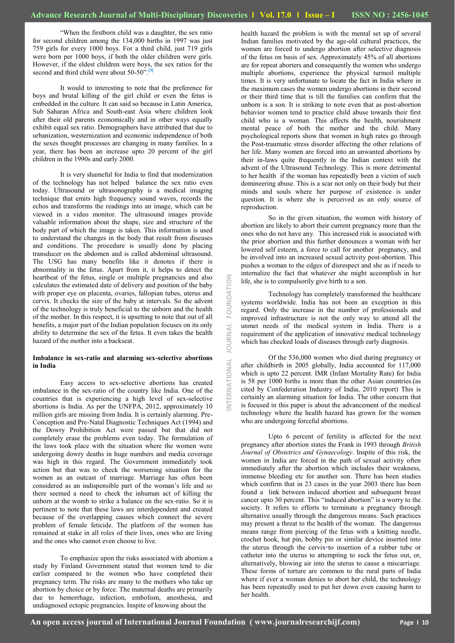"When the firstborn child was a daughter, the sex ratio for second children among the 134,000 births in 1997 was just 759 girls for every 1000 boys. For a third child, just 719 girls were born per 1000 boys, if both the older children were girls. However, if the eldest children were boys, the sex ratios for the second and third child were about 50-50".**[3]**

It would to interesting to note that the preference for boys and brutal killing of the girl child or even the fetus is embedded in the culture. It can said so because in Latin America, Sub Saharan Africa and South-east Asia where children look after their old parents economically and in other ways equally exhibit equal sex ratio. Demographers have attributed that due to urbanization, westernization and economic independence of both the sexes thought processes are changing in many families. In a year, there has been an increase upto 20 percent of the girl children in the 1990s and early 2000.

It is very shameful for India to find that modernization of the technology has not helped balance the sex ratio even today. Ultrasound or ultrasonography is a medical imaging technique that emits high frequency sound waves, records the echos and transforms the readings into an image, which can be viewed in a video monitor. The ultrasound images provide valuable information about the shape, size and structure of the body part of which the image is taken. This information is used to understand the changes in the body that result from diseases and conditions. The procedure is usually done by placing transducer on the abdomen and is called abdominal ultrasound. The USG has many benefits like it denotes if there is abnormality in the fetus. Apart from it, it helps to detect the heartbeat of the fetus, single or multiple pregnancies and also calculates the estimated date of delivery and position of the baby with proper eye on placenta, ovaries, fallopian tubes, uterus and cervix. It checks the size of the baby at intervals. So the advent of the technology is truly beneficial to the unborn and the health of the mother. In this respect, it is upsetting to note that out of all benefits, a major part of the Indian population focuses on its only ability to determine the sex of the fetus. It even takes the health hazard of the mother into a backseat.

## **Imbalance in sex-ratio and alarming sex-selective abortions in India**

Easy access to sex-selective abortions has created imbalance in the sex-ratio of the country like India. One of the countries that is experiencing a high level of sex-selective abortions is India. As per the UNFPA, 2012, approximately 10 million girls are missing from India. It is certainly alarming. Pre-Conception and Pre-Natal Diagnostic Techniques Act (1994) and the Dowry Prohibition Act were passed but that did not completely erase the problems even today. The formulation of the laws took place with the situation where the women were undergoing dowry deaths in huge numbers and media coverage was high in this regard. The Government immediately took action but that was to check the worsening situation for the women as an outcast of marriage. Marriage has often been considered as an indispensible part of the woman"s life and so there seemed a need to check the inhuman act of killing the unborn at the womb to strike a balance on the sex-ratio. So it is pertinent to note that these laws are interdependent and created because of the overlapping causes which connect the severe problem of female feticide. The platform of the women has remained at stake in all roles of their lives, ones who are living and the ones who cannot even choose to live.

To emphasize upon the risks associated with abortion a study by Finland Government stated that women tend to die earlier compared to the women who have completed their pregnancy term. The risks are many to the mothers who take up abortion by choice or by force. The maternal deaths are primarily due to hemorrhage, infection, embolism, anesthesia, and undiagnosed ectopic pregnancies. Inspite of knowing about the

health hazard the problem is with the mental set up of several Indian families motivated by the age-old cultural practices, the women are forced to undergo abortion after selective diagnosis of the fetus on basis of sex. Approximately 45% of all abortions are for repeat aborters and consequently the women who undergo multiple abortions, experience the physical turmoil multiple times. It is very unfortunate to locate the fact in India where in the maximum cases the women undergo abortions in their second or their third time that is till the families can confirm that the unborn is a son. It is striking to note even that as post-abortion behavior women tend to practice child abuse towards their first child who is a woman. This affects the health, nourishment mental peace of both the mother and the child. Many psychological reports show that women in high rates go through the Post-traumatic stress disorder affecting the other relations of her life. Many women are forced into an unwanted abortions by their in-laws quite frequently in the Indian context with the advent of the Ultrasound Technology. This is more detrimental to her health if the woman has repeatedly been a victim of such domineering abuse. This is a scar not only on their body but their minds and souls where her purpose of existence is under question. It is where she is perceived as an only source of reproduction.

So in the given situation, the women with history of abortion are likely to abort their current pregnancy more than the ones who do not have any. This increased risk is associated with the prior abortion and this further denounces a woman with her lowered self esteem, a force to call for another pregnancy, and be involved into an increased sexual activity post-abortion. This pushes a woman to the edges of disrespect and she as if needs to internalize the fact that whatever she might accomplish in her life, she is to compulsorily give birth to a son.

Technology has completely transformed the healthcare systems worldwide. India has not been an exception in this regard. Only the increase in the number of professionals and improved infrastructure is not the only way to attend all the unmet needs of the medical system in India. There is a requirement of the application of innovative medical technology which has checked loads of diseases through early diagnosis.

Of the 536,000 women who died during pregnancy or after childbirth in 2005 globally, India accounted for 117,000 which is upto 22 percent. IMR (Infant Mortality Rate) for India is 58 per 1000 births is more than the other Asian countries.(as cited by Confederation Industry of India, 2010 report) This is certainly an alarming situation for India. The other concern that is focused in this paper is about the advancement of the medical technology where the health hazard has grown for the women who are undergoing forceful abortions.

Upto 6 percent of fertility is affected for the next pregnancy after abortion states the Frank in 1993 through *British Journal of Obstetrics and Gynaecology*. Inspite of this risk, the women in India are forced in the path of sexual activity often immediately after the abortion which includes their weakness, immense bleeding etc for another son. There has been studies which confirm that in 23 cases in the year 2003 there has been found a link between induced abortion and subsequent breast cancer upto 30 percent. This "induced abortion" is a worry to the society. It refers to efforts to terminate a pregnancy through alternative usually through the dangerous means. Such practices may present a threat to the health of the woman. The dangerous means range from piercing of the fetus with a knitting needle, crochet hook, hat pin, bobby pin or similar device inserted into the uterus through the cervix-to insertion of a rubber tube or catheter into the uterus to attempting to suck the fetus out, or, alternatively, blowing air into the uterus to cause a miscarriage. These forms of torture are common to the rural parts of India where if ever a woman denies to abort her child, the technology has been repeatedly used to put her down even causing harm to her health.

**INTERNATIONAL JOURNAL FOUNDATION**

NTERNATIONAL

**JOURNAL** 

FOUNDATION